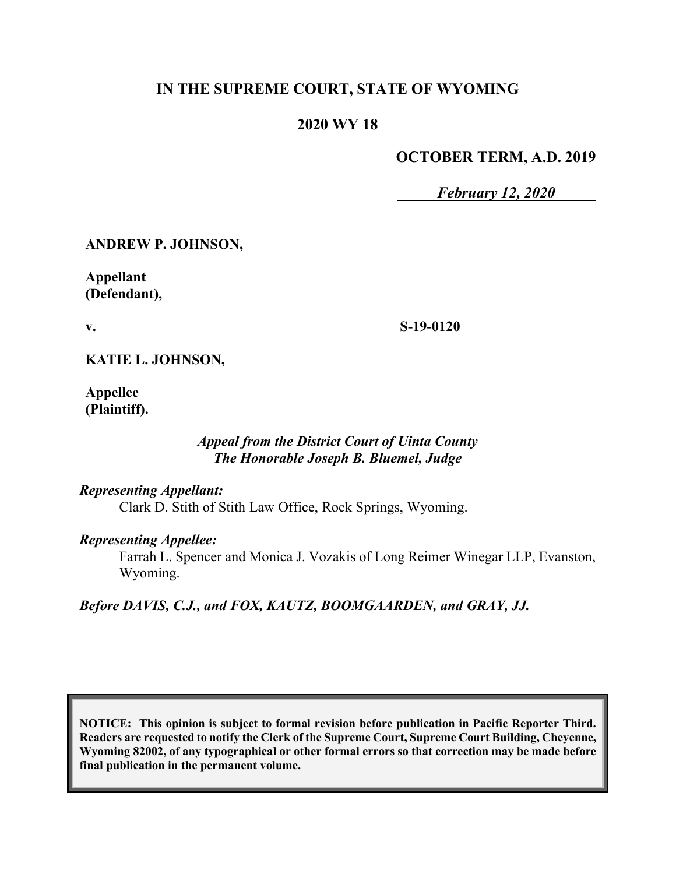### **IN THE SUPREME COURT, STATE OF WYOMING**

### **2020 WY 18**

#### **OCTOBER TERM, A.D. 2019**

*February 12, 2020*

**ANDREW P. JOHNSON,**

**Appellant (Defendant),**

**v.**

**S-19-0120**

**KATIE L. JOHNSON,**

**Appellee (Plaintiff).**

#### *Appeal from the District Court of Uinta County The Honorable Joseph B. Bluemel, Judge*

#### *Representing Appellant:*

Clark D. Stith of Stith Law Office, Rock Springs, Wyoming.

#### *Representing Appellee:*

Farrah L. Spencer and Monica J. Vozakis of Long Reimer Winegar LLP, Evanston, Wyoming.

*Before DAVIS, C.J., and FOX, KAUTZ, BOOMGAARDEN, and GRAY, JJ.*

**NOTICE: This opinion is subject to formal revision before publication in Pacific Reporter Third. Readers are requested to notify the Clerk of the Supreme Court, Supreme Court Building, Cheyenne, Wyoming 82002, of any typographical or other formal errors so that correction may be made before final publication in the permanent volume.**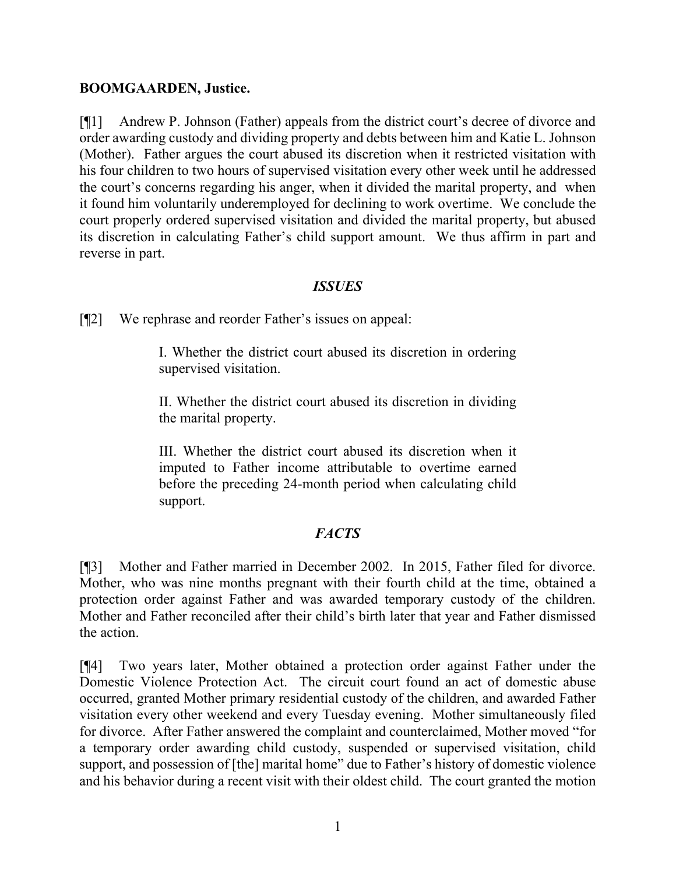#### **BOOMGAARDEN, Justice.**

[¶1] Andrew P. Johnson (Father) appeals from the district court's decree of divorce and order awarding custody and dividing property and debts between him and Katie L. Johnson (Mother). Father argues the court abused its discretion when it restricted visitation with his four children to two hours of supervised visitation every other week until he addressed the court's concerns regarding his anger, when it divided the marital property, and when it found him voluntarily underemployed for declining to work overtime. We conclude the court properly ordered supervised visitation and divided the marital property, but abused its discretion in calculating Father's child support amount. We thus affirm in part and reverse in part.

#### *ISSUES*

[¶2] We rephrase and reorder Father's issues on appeal:

I. Whether the district court abused its discretion in ordering supervised visitation.

II. Whether the district court abused its discretion in dividing the marital property.

III. Whether the district court abused its discretion when it imputed to Father income attributable to overtime earned before the preceding 24-month period when calculating child support.

## *FACTS*

[¶3] Mother and Father married in December 2002. In 2015, Father filed for divorce. Mother, who was nine months pregnant with their fourth child at the time, obtained a protection order against Father and was awarded temporary custody of the children. Mother and Father reconciled after their child's birth later that year and Father dismissed the action.

[¶4] Two years later, Mother obtained a protection order against Father under the Domestic Violence Protection Act. The circuit court found an act of domestic abuse occurred, granted Mother primary residential custody of the children, and awarded Father visitation every other weekend and every Tuesday evening. Mother simultaneously filed for divorce. After Father answered the complaint and counterclaimed, Mother moved "for a temporary order awarding child custody, suspended or supervised visitation, child support, and possession of [the] marital home" due to Father's history of domestic violence and his behavior during a recent visit with their oldest child. The court granted the motion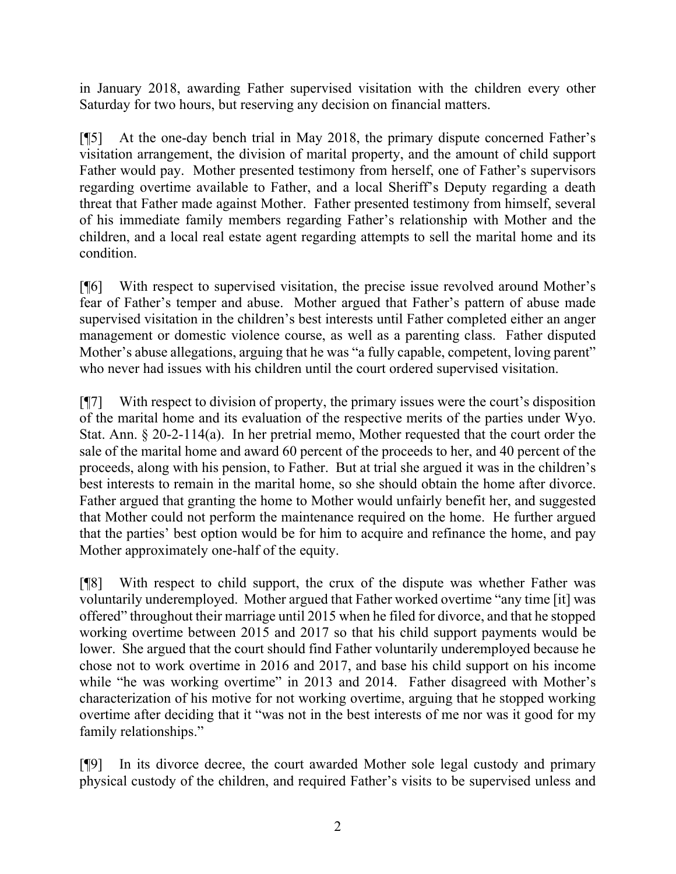in January 2018, awarding Father supervised visitation with the children every other Saturday for two hours, but reserving any decision on financial matters.

[¶5] At the one-day bench trial in May 2018, the primary dispute concerned Father's visitation arrangement, the division of marital property, and the amount of child support Father would pay. Mother presented testimony from herself, one of Father's supervisors regarding overtime available to Father, and a local Sheriff's Deputy regarding a death threat that Father made against Mother. Father presented testimony from himself, several of his immediate family members regarding Father's relationship with Mother and the children, and a local real estate agent regarding attempts to sell the marital home and its condition.

[¶6] With respect to supervised visitation, the precise issue revolved around Mother's fear of Father's temper and abuse. Mother argued that Father's pattern of abuse made supervised visitation in the children's best interests until Father completed either an anger management or domestic violence course, as well as a parenting class. Father disputed Mother's abuse allegations, arguing that he was "a fully capable, competent, loving parent" who never had issues with his children until the court ordered supervised visitation.

[¶7] With respect to division of property, the primary issues were the court's disposition of the marital home and its evaluation of the respective merits of the parties under Wyo. Stat. Ann. § 20-2-114(a). In her pretrial memo, Mother requested that the court order the sale of the marital home and award 60 percent of the proceeds to her, and 40 percent of the proceeds, along with his pension, to Father. But at trial she argued it was in the children's best interests to remain in the marital home, so she should obtain the home after divorce. Father argued that granting the home to Mother would unfairly benefit her, and suggested that Mother could not perform the maintenance required on the home. He further argued that the parties' best option would be for him to acquire and refinance the home, and pay Mother approximately one-half of the equity.

[¶8] With respect to child support, the crux of the dispute was whether Father was voluntarily underemployed. Mother argued that Father worked overtime "any time [it] was offered" throughout their marriage until 2015 when he filed for divorce, and that he stopped working overtime between 2015 and 2017 so that his child support payments would be lower. She argued that the court should find Father voluntarily underemployed because he chose not to work overtime in 2016 and 2017, and base his child support on his income while "he was working overtime" in 2013 and 2014. Father disagreed with Mother's characterization of his motive for not working overtime, arguing that he stopped working overtime after deciding that it "was not in the best interests of me nor was it good for my family relationships."

[¶9] In its divorce decree, the court awarded Mother sole legal custody and primary physical custody of the children, and required Father's visits to be supervised unless and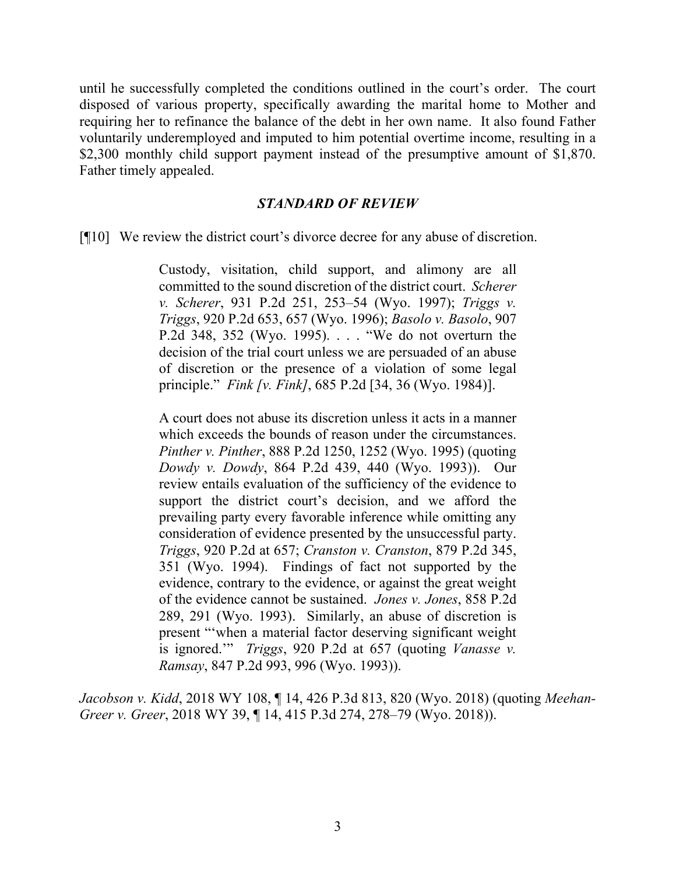until he successfully completed the conditions outlined in the court's order. The court disposed of various property, specifically awarding the marital home to Mother and requiring her to refinance the balance of the debt in her own name. It also found Father voluntarily underemployed and imputed to him potential overtime income, resulting in a \$2,300 monthly child support payment instead of the presumptive amount of \$1,870. Father timely appealed.

#### *STANDARD OF REVIEW*

[¶10] We review the district court's divorce decree for any abuse of discretion.

Custody, visitation, child support, and alimony are all committed to the sound discretion of the district court. *Scherer v. Scherer*, 931 P.2d 251, 253–54 (Wyo. 1997); *Triggs v. Triggs*, 920 P.2d 653, 657 (Wyo. 1996); *Basolo v. Basolo*, 907 P.2d 348, 352 (Wyo. 1995). . . . "We do not overturn the decision of the trial court unless we are persuaded of an abuse of discretion or the presence of a violation of some legal principle." *Fink [v. Fink]*, 685 P.2d [34, 36 (Wyo. 1984)].

A court does not abuse its discretion unless it acts in a manner which exceeds the bounds of reason under the circumstances. *Pinther v. Pinther*, 888 P.2d 1250, 1252 (Wyo. 1995) (quoting *Dowdy v. Dowdy*, 864 P.2d 439, 440 (Wyo. 1993)). Our review entails evaluation of the sufficiency of the evidence to support the district court's decision, and we afford the prevailing party every favorable inference while omitting any consideration of evidence presented by the unsuccessful party. *Triggs*, 920 P.2d at 657; *Cranston v. Cranston*, 879 P.2d 345, 351 (Wyo. 1994). Findings of fact not supported by the evidence, contrary to the evidence, or against the great weight of the evidence cannot be sustained. *Jones v. Jones*, 858 P.2d 289, 291 (Wyo. 1993). Similarly, an abuse of discretion is present "'when a material factor deserving significant weight is ignored.'" *Triggs*, 920 P.2d at 657 (quoting *Vanasse v. Ramsay*, 847 P.2d 993, 996 (Wyo. 1993)).

*Jacobson v. Kidd*, 2018 WY 108, ¶ 14, 426 P.3d 813, 820 (Wyo. 2018) (quoting *Meehan-Greer v. Greer*, 2018 WY 39, ¶ 14, 415 P.3d 274, 278–79 (Wyo. 2018)).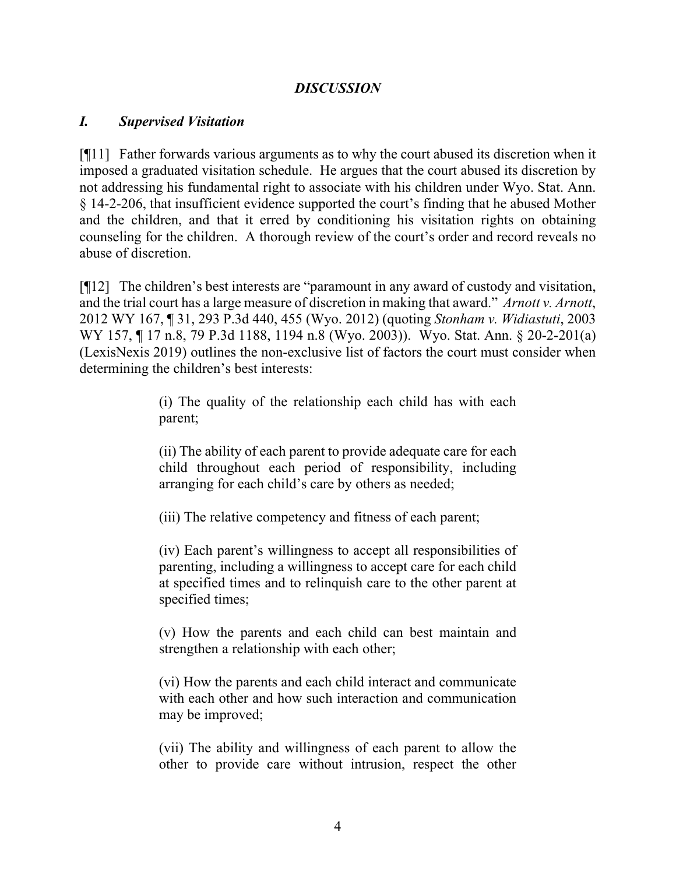### *DISCUSSION*

#### *I. Supervised Visitation*

[¶11] Father forwards various arguments as to why the court abused its discretion when it imposed a graduated visitation schedule. He argues that the court abused its discretion by not addressing his fundamental right to associate with his children under Wyo. Stat. Ann. § 14-2-206, that insufficient evidence supported the court's finding that he abused Mother and the children, and that it erred by conditioning his visitation rights on obtaining counseling for the children. A thorough review of the court's order and record reveals no abuse of discretion.

[¶12] The children's best interests are "paramount in any award of custody and visitation, and the trial court has a large measure of discretion in making that award." *Arnott v. Arnott*, 2012 WY 167, ¶ 31, 293 P.3d 440, 455 (Wyo. 2012) (quoting *Stonham v. Widiastuti*, 2003 WY 157, ¶ 17 n.8, 79 P.3d 1188, 1194 n.8 (Wyo. 2003)). Wyo. Stat. Ann. § 20-2-201(a) (LexisNexis 2019) outlines the non-exclusive list of factors the court must consider when determining the children's best interests:

> (i) The quality of the relationship each child has with each parent;

> (ii) The ability of each parent to provide adequate care for each child throughout each period of responsibility, including arranging for each child's care by others as needed;

(iii) The relative competency and fitness of each parent;

(iv) Each parent's willingness to accept all responsibilities of parenting, including a willingness to accept care for each child at specified times and to relinquish care to the other parent at specified times;

(v) How the parents and each child can best maintain and strengthen a relationship with each other;

(vi) How the parents and each child interact and communicate with each other and how such interaction and communication may be improved;

(vii) The ability and willingness of each parent to allow the other to provide care without intrusion, respect the other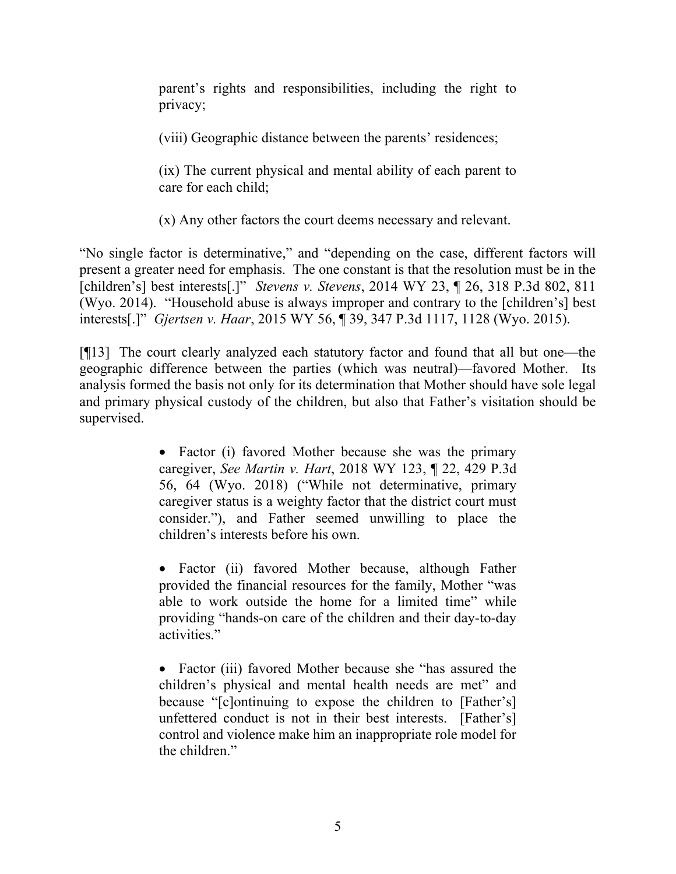parent's rights and responsibilities, including the right to privacy;

(viii) Geographic distance between the parents' residences;

(ix) The current physical and mental ability of each parent to care for each child;

(x) Any other factors the court deems necessary and relevant.

"No single factor is determinative," and "depending on the case, different factors will present a greater need for emphasis. The one constant is that the resolution must be in the [children's] best interests[.]" *Stevens v. Stevens*, 2014 WY 23, ¶ 26, 318 P.3d 802, 811 (Wyo. 2014). "Household abuse is always improper and contrary to the [children's] best interests[.]" *Gjertsen v. Haar*, 2015 WY 56, ¶ 39, 347 P.3d 1117, 1128 (Wyo. 2015).

[¶13] The court clearly analyzed each statutory factor and found that all but one—the geographic difference between the parties (which was neutral)—favored Mother. Its analysis formed the basis not only for its determination that Mother should have sole legal and primary physical custody of the children, but also that Father's visitation should be supervised.

> • Factor (i) favored Mother because she was the primary caregiver, *See Martin v. Hart*, 2018 WY 123, ¶ 22, 429 P.3d 56, 64 (Wyo. 2018) ("While not determinative, primary caregiver status is a weighty factor that the district court must consider."), and Father seemed unwilling to place the children's interests before his own.

> • Factor (ii) favored Mother because, although Father provided the financial resources for the family, Mother "was able to work outside the home for a limited time" while providing "hands-on care of the children and their day-to-day activities."

> • Factor (iii) favored Mother because she "has assured the children's physical and mental health needs are met" and because "[c]ontinuing to expose the children to [Father's] unfettered conduct is not in their best interests. [Father's] control and violence make him an inappropriate role model for the children."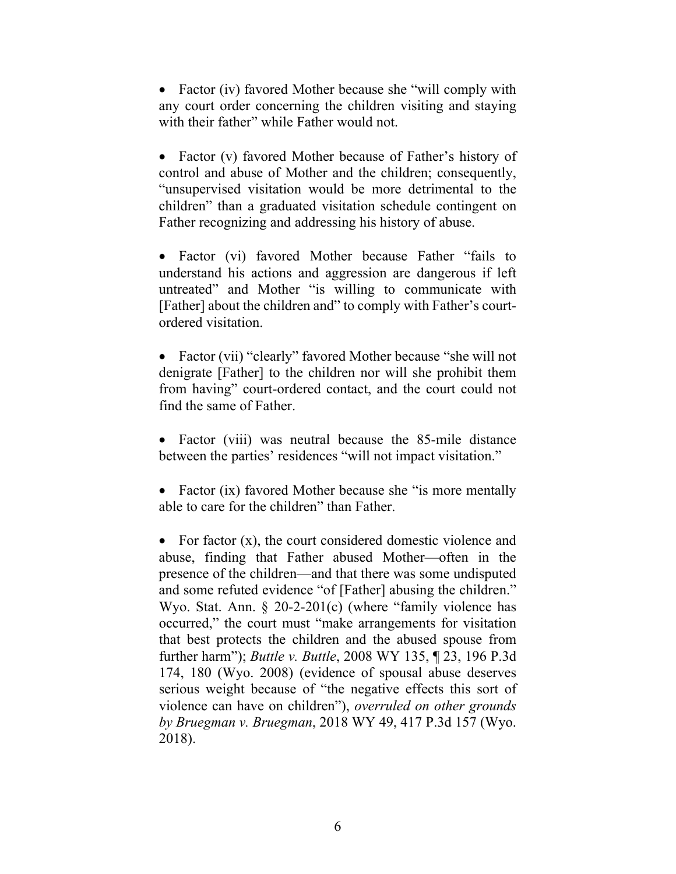• Factor (iv) favored Mother because she "will comply with any court order concerning the children visiting and staying with their father" while Father would not.

• Factor (v) favored Mother because of Father's history of control and abuse of Mother and the children; consequently, "unsupervised visitation would be more detrimental to the children" than a graduated visitation schedule contingent on Father recognizing and addressing his history of abuse.

• Factor (vi) favored Mother because Father "fails to understand his actions and aggression are dangerous if left untreated" and Mother "is willing to communicate with [Father] about the children and" to comply with Father's courtordered visitation.

• Factor (vii) "clearly" favored Mother because "she will not denigrate [Father] to the children nor will she prohibit them from having" court-ordered contact, and the court could not find the same of Father.

• Factor (viii) was neutral because the 85-mile distance between the parties' residences "will not impact visitation."

• Factor (ix) favored Mother because she "is more mentally able to care for the children" than Father.

• For factor  $(x)$ , the court considered domestic violence and abuse, finding that Father abused Mother—often in the presence of the children—and that there was some undisputed and some refuted evidence "of [Father] abusing the children." Wyo. Stat. Ann. § 20-2-201(c) (where "family violence has occurred," the court must "make arrangements for visitation that best protects the children and the abused spouse from further harm"); *Buttle v. Buttle*, 2008 WY 135, ¶ 23, 196 P.3d 174, 180 (Wyo. 2008) (evidence of spousal abuse deserves serious weight because of "the negative effects this sort of violence can have on children"), *overruled on other grounds by Bruegman v. Bruegman*, 2018 WY 49, 417 P.3d 157 (Wyo. 2018).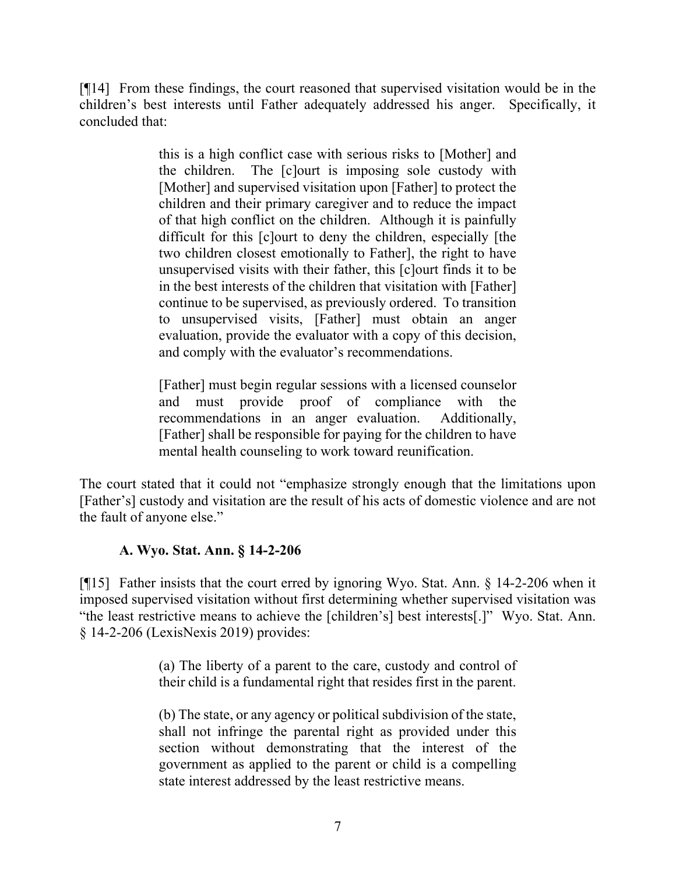[¶14] From these findings, the court reasoned that supervised visitation would be in the children's best interests until Father adequately addressed his anger. Specifically, it concluded that:

> this is a high conflict case with serious risks to [Mother] and the children. The [c]ourt is imposing sole custody with [Mother] and supervised visitation upon [Father] to protect the children and their primary caregiver and to reduce the impact of that high conflict on the children. Although it is painfully difficult for this [c]ourt to deny the children, especially [the two children closest emotionally to Father], the right to have unsupervised visits with their father, this [c]ourt finds it to be in the best interests of the children that visitation with [Father] continue to be supervised, as previously ordered. To transition to unsupervised visits, [Father] must obtain an anger evaluation, provide the evaluator with a copy of this decision, and comply with the evaluator's recommendations.

> [Father] must begin regular sessions with a licensed counselor and must provide proof of compliance with the recommendations in an anger evaluation. Additionally, [Father] shall be responsible for paying for the children to have mental health counseling to work toward reunification.

The court stated that it could not "emphasize strongly enough that the limitations upon [Father's] custody and visitation are the result of his acts of domestic violence and are not the fault of anyone else."

### **A. Wyo. Stat. Ann. § 14-2-206**

[¶15] Father insists that the court erred by ignoring Wyo. Stat. Ann. § 14-2-206 when it imposed supervised visitation without first determining whether supervised visitation was "the least restrictive means to achieve the [children's] best interests[.]" Wyo. Stat. Ann. § 14-2-206 (LexisNexis 2019) provides:

> (a) The liberty of a parent to the care, custody and control of their child is a fundamental right that resides first in the parent.

> (b) The state, or any agency or political subdivision of the state, shall not infringe the parental right as provided under this section without demonstrating that the interest of the government as applied to the parent or child is a compelling state interest addressed by the least restrictive means.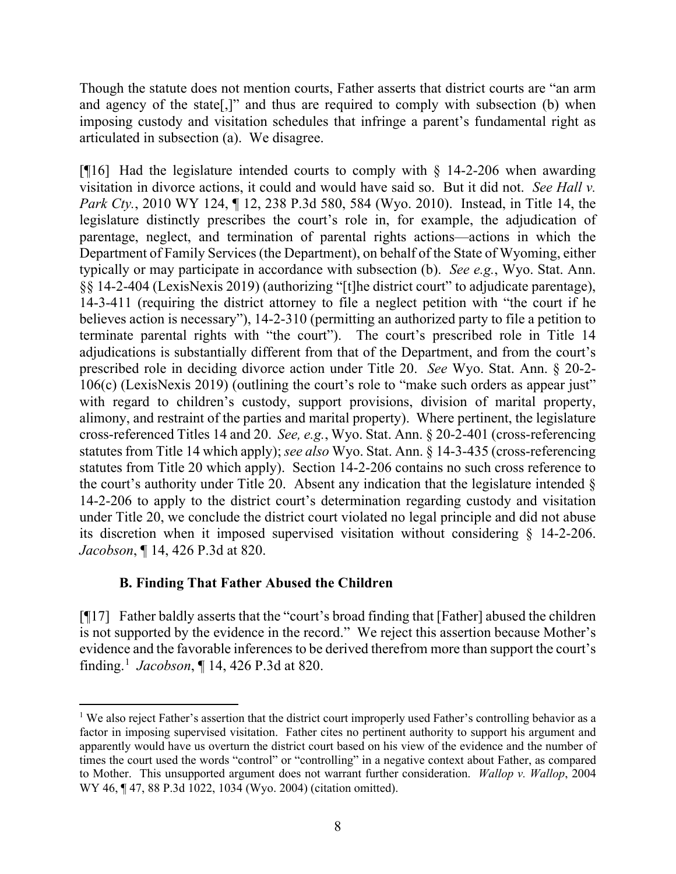Though the statute does not mention courts, Father asserts that district courts are "an arm and agency of the state[,]" and thus are required to comply with subsection (b) when imposing custody and visitation schedules that infringe a parent's fundamental right as articulated in subsection (a). We disagree.

[ $[16]$ ] Had the legislature intended courts to comply with  $\S$  14-2-206 when awarding visitation in divorce actions, it could and would have said so. But it did not. *See Hall v. Park Cty.*, 2010 WY 124, ¶ 12, 238 P.3d 580, 584 (Wyo. 2010). Instead, in Title 14, the legislature distinctly prescribes the court's role in, for example, the adjudication of parentage, neglect, and termination of parental rights actions—actions in which the Department of Family Services (the Department), on behalf of the State of Wyoming, either typically or may participate in accordance with subsection (b). *See e.g.*, Wyo. Stat. Ann. §§ 14-2-404 (LexisNexis 2019) (authorizing "[t]he district court" to adjudicate parentage), 14-3-411 (requiring the district attorney to file a neglect petition with "the court if he believes action is necessary"), 14-2-310 (permitting an authorized party to file a petition to terminate parental rights with "the court"). The court's prescribed role in Title 14 adjudications is substantially different from that of the Department, and from the court's prescribed role in deciding divorce action under Title 20. *See* Wyo. Stat. Ann. § 20-2- 106(c) (LexisNexis 2019) (outlining the court's role to "make such orders as appear just" with regard to children's custody, support provisions, division of marital property, alimony, and restraint of the parties and marital property). Where pertinent, the legislature cross-referenced Titles 14 and 20. *See, e.g.*, Wyo. Stat. Ann. § 20-2-401 (cross-referencing statutes from Title 14 which apply); *see also* Wyo. Stat. Ann. § 14-3-435 (cross-referencing statutes from Title 20 which apply). Section 14-2-206 contains no such cross reference to the court's authority under Title 20. Absent any indication that the legislature intended § 14-2-206 to apply to the district court's determination regarding custody and visitation under Title 20, we conclude the district court violated no legal principle and did not abuse its discretion when it imposed supervised visitation without considering § 14-2-206. *Jacobson*, ¶ 14, 426 P.3d at 820.

### **B. Finding That Father Abused the Children**

[¶17] Father baldly asserts that the "court's broad finding that [Father] abused the children is not supported by the evidence in the record." We reject this assertion because Mother's evidence and the favorable inferences to be derived therefrom more than support the court's finding. [1](#page-8-0) *Jacobson*, ¶ 14, 426 P.3d at 820.

<span id="page-8-0"></span><sup>&</sup>lt;sup>1</sup> We also reject Father's assertion that the district court improperly used Father's controlling behavior as a factor in imposing supervised visitation. Father cites no pertinent authority to support his argument and apparently would have us overturn the district court based on his view of the evidence and the number of times the court used the words "control" or "controlling" in a negative context about Father, as compared to Mother. This unsupported argument does not warrant further consideration. *Wallop v. Wallop*, 2004 WY 46, ¶ 47, 88 P.3d 1022, 1034 (Wyo. 2004) (citation omitted).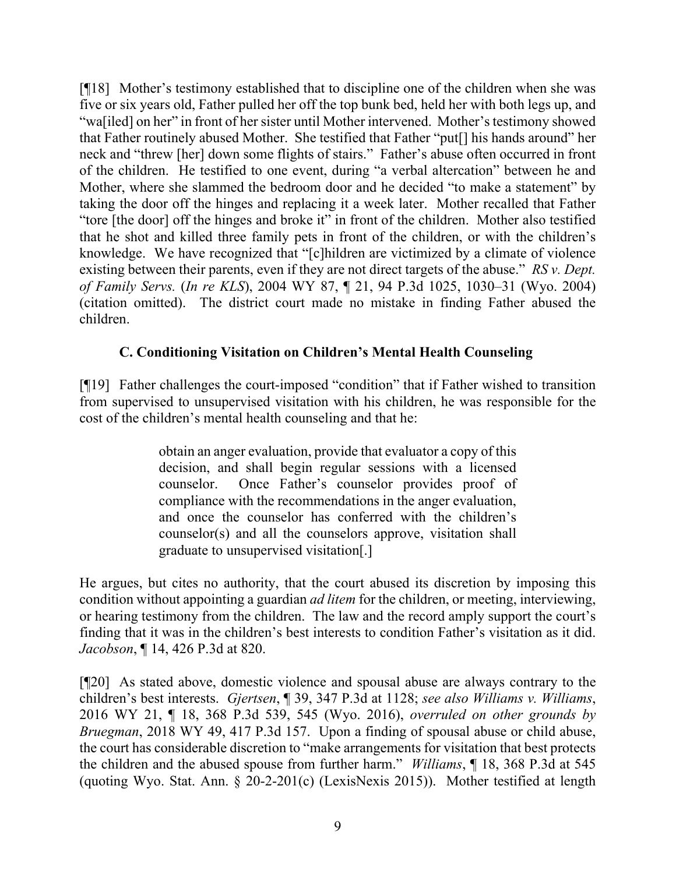[¶18] Mother's testimony established that to discipline one of the children when she was five or six years old, Father pulled her off the top bunk bed, held her with both legs up, and "wa[iled] on her" in front of her sister until Mother intervened. Mother's testimony showed that Father routinely abused Mother. She testified that Father "put[] his hands around" her neck and "threw [her] down some flights of stairs." Father's abuse often occurred in front of the children. He testified to one event, during "a verbal altercation" between he and Mother, where she slammed the bedroom door and he decided "to make a statement" by taking the door off the hinges and replacing it a week later. Mother recalled that Father "tore [the door] off the hinges and broke it" in front of the children. Mother also testified that he shot and killed three family pets in front of the children, or with the children's knowledge. We have recognized that "[c]hildren are victimized by a climate of violence existing between their parents, even if they are not direct targets of the abuse." *RS v. Dept. of Family Servs.* (*In re KLS*), 2004 WY 87, ¶ 21, 94 P.3d 1025, 1030–31 (Wyo. 2004) (citation omitted). The district court made no mistake in finding Father abused the children.

## **C. Conditioning Visitation on Children's Mental Health Counseling**

[¶19] Father challenges the court-imposed "condition" that if Father wished to transition from supervised to unsupervised visitation with his children, he was responsible for the cost of the children's mental health counseling and that he:

> obtain an anger evaluation, provide that evaluator a copy of this decision, and shall begin regular sessions with a licensed counselor. Once Father's counselor provides proof of compliance with the recommendations in the anger evaluation, and once the counselor has conferred with the children's counselor(s) and all the counselors approve, visitation shall graduate to unsupervised visitation[.]

He argues, but cites no authority, that the court abused its discretion by imposing this condition without appointing a guardian *ad litem* for the children, or meeting, interviewing, or hearing testimony from the children. The law and the record amply support the court's finding that it was in the children's best interests to condition Father's visitation as it did. *Jacobson*, ¶ 14, 426 P.3d at 820.

[¶20] As stated above, domestic violence and spousal abuse are always contrary to the children's best interests. *Gjertsen*, ¶ 39, 347 P.3d at 1128; *see also Williams v. Williams*, 2016 WY 21, ¶ 18, 368 P.3d 539, 545 (Wyo. 2016), *overruled on other grounds by Bruegman*, 2018 WY 49, 417 P.3d 157. Upon a finding of spousal abuse or child abuse, the court has considerable discretion to "make arrangements for visitation that best protects the children and the abused spouse from further harm." *Williams*, ¶ 18, 368 P.3d at 545 (quoting Wyo. Stat. Ann. § 20-2-201(c) (LexisNexis 2015)). Mother testified at length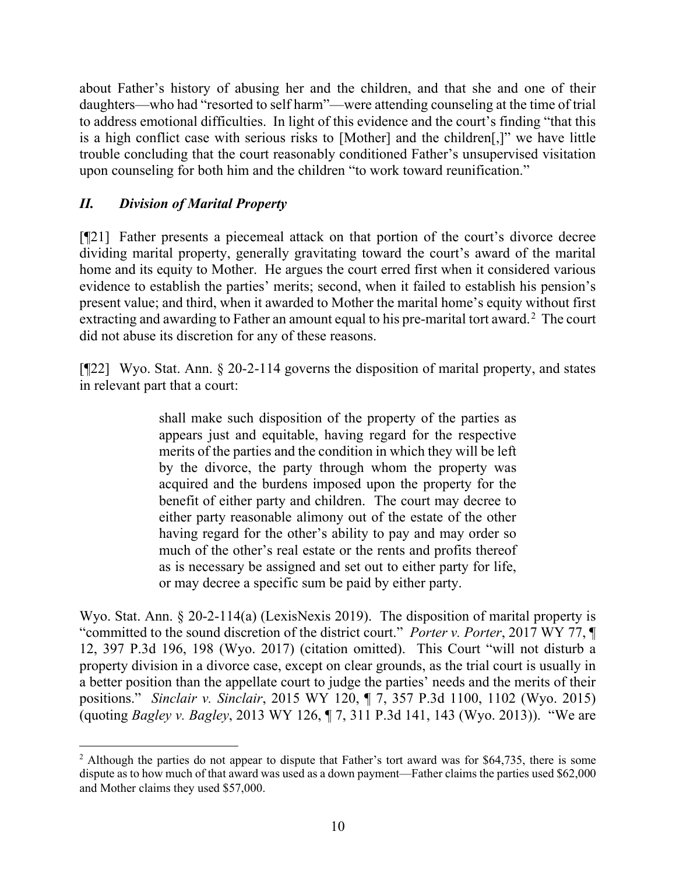about Father's history of abusing her and the children, and that she and one of their daughters—who had "resorted to self harm"—were attending counseling at the time of trial to address emotional difficulties. In light of this evidence and the court's finding "that this is a high conflict case with serious risks to [Mother] and the children[,]" we have little trouble concluding that the court reasonably conditioned Father's unsupervised visitation upon counseling for both him and the children "to work toward reunification."

# *II. Division of Marital Property*

[¶21] Father presents a piecemeal attack on that portion of the court's divorce decree dividing marital property, generally gravitating toward the court's award of the marital home and its equity to Mother. He argues the court erred first when it considered various evidence to establish the parties' merits; second, when it failed to establish his pension's present value; and third, when it awarded to Mother the marital home's equity without first extracting and awarding to Father an amount equal to his pre-marital tort award.<sup>[2](#page-10-0)</sup> The court did not abuse its discretion for any of these reasons.

[¶22] Wyo. Stat. Ann. § 20-2-114 governs the disposition of marital property, and states in relevant part that a court:

> shall make such disposition of the property of the parties as appears just and equitable, having regard for the respective merits of the parties and the condition in which they will be left by the divorce, the party through whom the property was acquired and the burdens imposed upon the property for the benefit of either party and children. The court may decree to either party reasonable alimony out of the estate of the other having regard for the other's ability to pay and may order so much of the other's real estate or the rents and profits thereof as is necessary be assigned and set out to either party for life, or may decree a specific sum be paid by either party.

Wyo. Stat. Ann. § 20-2-114(a) (LexisNexis 2019). The disposition of marital property is "committed to the sound discretion of the district court." *Porter v. Porter*, 2017 WY 77, ¶ 12, 397 P.3d 196, 198 (Wyo. 2017) (citation omitted). This Court "will not disturb a property division in a divorce case, except on clear grounds, as the trial court is usually in a better position than the appellate court to judge the parties' needs and the merits of their positions." *Sinclair v. Sinclair*, 2015 WY 120, ¶ 7, 357 P.3d 1100, 1102 (Wyo. 2015) (quoting *Bagley v. Bagley*, 2013 WY 126, ¶ 7, 311 P.3d 141, 143 (Wyo. 2013)). "We are

<span id="page-10-0"></span><sup>2</sup> Although the parties do not appear to dispute that Father's tort award was for \$64,735, there is some dispute as to how much of that award was used as a down payment—Father claims the parties used \$62,000 and Mother claims they used \$57,000.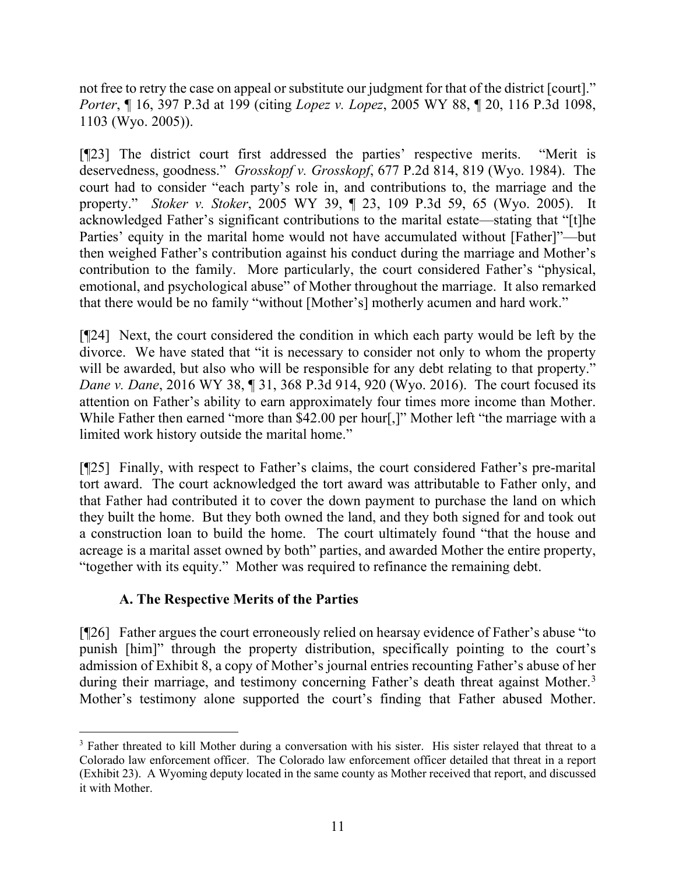not free to retry the case on appeal or substitute our judgment for that of the district [court]." *Porter*, ¶ 16, 397 P.3d at 199 (citing *Lopez v. Lopez*, 2005 WY 88, ¶ 20, 116 P.3d 1098, 1103 (Wyo. 2005)).

[¶23] The district court first addressed the parties' respective merits. "Merit is deservedness, goodness." *Grosskopf v. Grosskopf*, 677 P.2d 814, 819 (Wyo. 1984). The court had to consider "each party's role in, and contributions to, the marriage and the property." *Stoker v. Stoker*, 2005 WY 39, ¶ 23, 109 P.3d 59, 65 (Wyo. 2005). It acknowledged Father's significant contributions to the marital estate—stating that "[t]he Parties' equity in the marital home would not have accumulated without [Father]"—but then weighed Father's contribution against his conduct during the marriage and Mother's contribution to the family. More particularly, the court considered Father's "physical, emotional, and psychological abuse" of Mother throughout the marriage. It also remarked that there would be no family "without [Mother's] motherly acumen and hard work."

[¶24] Next, the court considered the condition in which each party would be left by the divorce. We have stated that "it is necessary to consider not only to whom the property will be awarded, but also who will be responsible for any debt relating to that property." *Dane v. Dane*, 2016 WY 38, ¶ 31, 368 P.3d 914, 920 (Wyo. 2016). The court focused its attention on Father's ability to earn approximately four times more income than Mother. While Father then earned "more than \$42.00 per hour[,]" Mother left "the marriage with a limited work history outside the marital home."

[¶25] Finally, with respect to Father's claims, the court considered Father's pre-marital tort award. The court acknowledged the tort award was attributable to Father only, and that Father had contributed it to cover the down payment to purchase the land on which they built the home. But they both owned the land, and they both signed for and took out a construction loan to build the home. The court ultimately found "that the house and acreage is a marital asset owned by both" parties, and awarded Mother the entire property, "together with its equity." Mother was required to refinance the remaining debt.

## **A. The Respective Merits of the Parties**

[¶26] Father argues the court erroneously relied on hearsay evidence of Father's abuse "to punish [him]" through the property distribution, specifically pointing to the court's admission of Exhibit 8, a copy of Mother's journal entries recounting Father's abuse of her during their marriage, and testimony concerning Father's death threat against Mother.<sup>[3](#page-11-0)</sup> Mother's testimony alone supported the court's finding that Father abused Mother.

<span id="page-11-0"></span><sup>&</sup>lt;sup>3</sup> Father threated to kill Mother during a conversation with his sister. His sister relayed that threat to a Colorado law enforcement officer. The Colorado law enforcement officer detailed that threat in a report (Exhibit 23). A Wyoming deputy located in the same county as Mother received that report, and discussed it with Mother.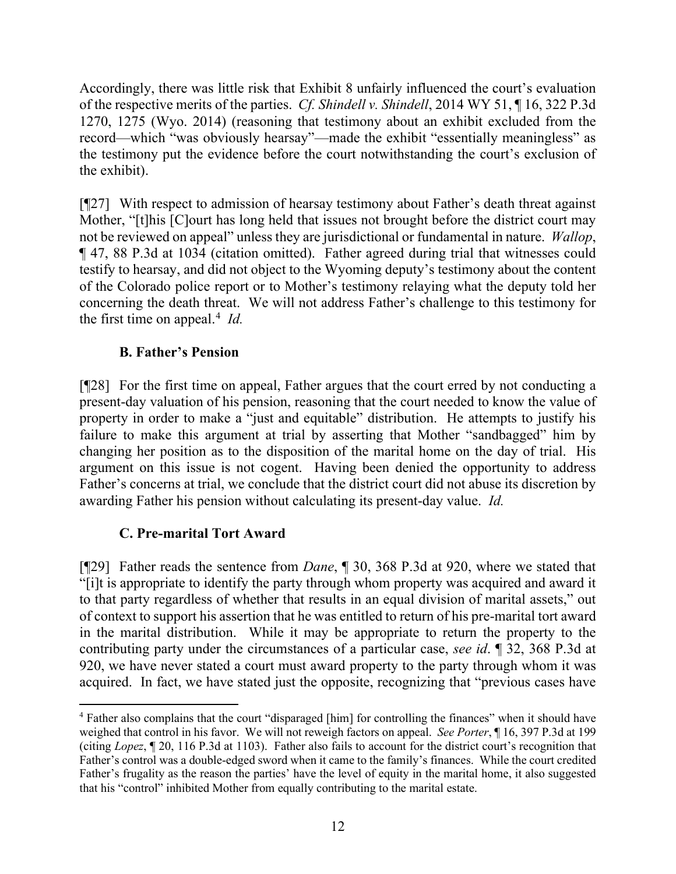Accordingly, there was little risk that Exhibit 8 unfairly influenced the court's evaluation of the respective merits of the parties. *Cf. Shindell v. Shindell*, 2014 WY 51, ¶ 16, 322 P.3d 1270, 1275 (Wyo. 2014) (reasoning that testimony about an exhibit excluded from the record—which "was obviously hearsay"—made the exhibit "essentially meaningless" as the testimony put the evidence before the court notwithstanding the court's exclusion of the exhibit).

[¶27] With respect to admission of hearsay testimony about Father's death threat against Mother, "[t]his [C]ourt has long held that issues not brought before the district court may not be reviewed on appeal" unless they are jurisdictional or fundamental in nature. *Wallop*, ¶ 47, 88 P.3d at 1034 (citation omitted). Father agreed during trial that witnesses could testify to hearsay, and did not object to the Wyoming deputy's testimony about the content of the Colorado police report or to Mother's testimony relaying what the deputy told her concerning the death threat. We will not address Father's challenge to this testimony for the first time on appeal. [4](#page-12-0) *Id.*

## **B. Father's Pension**

[¶28] For the first time on appeal, Father argues that the court erred by not conducting a present-day valuation of his pension, reasoning that the court needed to know the value of property in order to make a "just and equitable" distribution. He attempts to justify his failure to make this argument at trial by asserting that Mother "sandbagged" him by changing her position as to the disposition of the marital home on the day of trial. His argument on this issue is not cogent. Having been denied the opportunity to address Father's concerns at trial, we conclude that the district court did not abuse its discretion by awarding Father his pension without calculating its present-day value. *Id.*

### **C. Pre-marital Tort Award**

[¶29] Father reads the sentence from *Dane*, ¶ 30, 368 P.3d at 920, where we stated that "[i]t is appropriate to identify the party through whom property was acquired and award it to that party regardless of whether that results in an equal division of marital assets," out of context to support his assertion that he was entitled to return of his pre-marital tort award in the marital distribution. While it may be appropriate to return the property to the contributing party under the circumstances of a particular case, *see id*. ¶ 32, 368 P.3d at 920, we have never stated a court must award property to the party through whom it was acquired. In fact, we have stated just the opposite, recognizing that "previous cases have

<span id="page-12-0"></span><sup>4</sup> Father also complains that the court "disparaged [him] for controlling the finances" when it should have weighed that control in his favor. We will not reweigh factors on appeal. *See Porter*, ¶ 16, 397 P.3d at 199 (citing *Lopez*, ¶ 20, 116 P.3d at 1103). Father also fails to account for the district court's recognition that Father's control was a double-edged sword when it came to the family's finances. While the court credited Father's frugality as the reason the parties' have the level of equity in the marital home, it also suggested that his "control" inhibited Mother from equally contributing to the marital estate.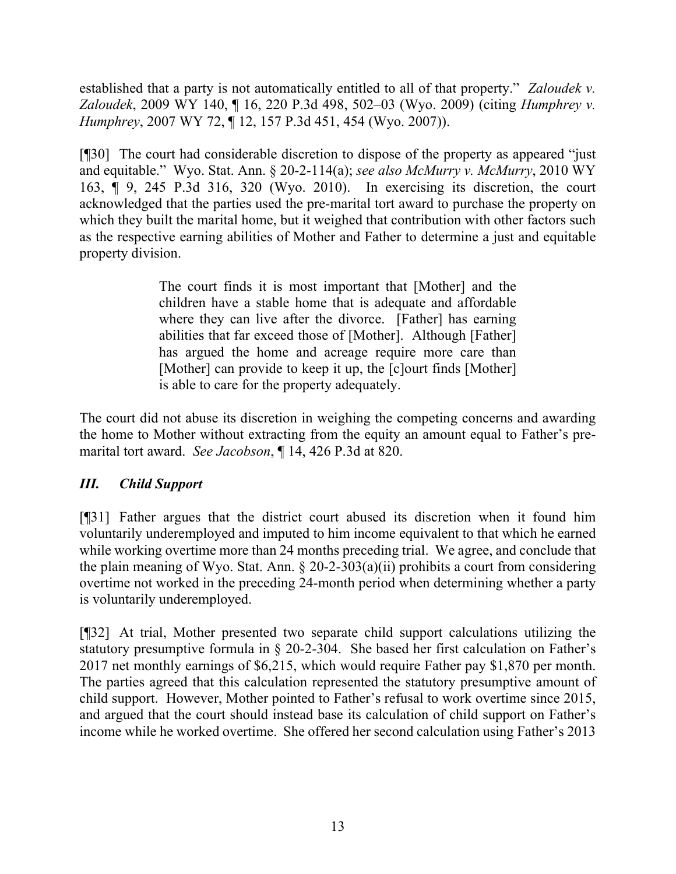established that a party is not automatically entitled to all of that property." *Zaloudek v. Zaloudek*, 2009 WY 140, ¶ 16, 220 P.3d 498, 502–03 (Wyo. 2009) (citing *Humphrey v. Humphrey*, 2007 WY 72, ¶ 12, 157 P.3d 451, 454 (Wyo. 2007)).

[¶30] The court had considerable discretion to dispose of the property as appeared "just and equitable." Wyo. Stat. Ann. § 20-2-114(a); *see also McMurry v. McMurry*, 2010 WY 163, ¶ 9, 245 P.3d 316, 320 (Wyo. 2010). In exercising its discretion, the court acknowledged that the parties used the pre-marital tort award to purchase the property on which they built the marital home, but it weighed that contribution with other factors such as the respective earning abilities of Mother and Father to determine a just and equitable property division.

> The court finds it is most important that [Mother] and the children have a stable home that is adequate and affordable where they can live after the divorce. [Father] has earning abilities that far exceed those of [Mother]. Although [Father] has argued the home and acreage require more care than [Mother] can provide to keep it up, the [c]ourt finds [Mother] is able to care for the property adequately.

The court did not abuse its discretion in weighing the competing concerns and awarding the home to Mother without extracting from the equity an amount equal to Father's premarital tort award. *See Jacobson*, ¶ 14, 426 P.3d at 820.

## *III. Child Support*

[¶31] Father argues that the district court abused its discretion when it found him voluntarily underemployed and imputed to him income equivalent to that which he earned while working overtime more than 24 months preceding trial. We agree, and conclude that the plain meaning of Wyo. Stat. Ann.  $\S 20-2-303(a)(ii)$  prohibits a court from considering overtime not worked in the preceding 24-month period when determining whether a party is voluntarily underemployed.

[¶32] At trial, Mother presented two separate child support calculations utilizing the statutory presumptive formula in § 20-2-304. She based her first calculation on Father's 2017 net monthly earnings of \$6,215, which would require Father pay \$1,870 per month. The parties agreed that this calculation represented the statutory presumptive amount of child support. However, Mother pointed to Father's refusal to work overtime since 2015, and argued that the court should instead base its calculation of child support on Father's income while he worked overtime. She offered her second calculation using Father's 2013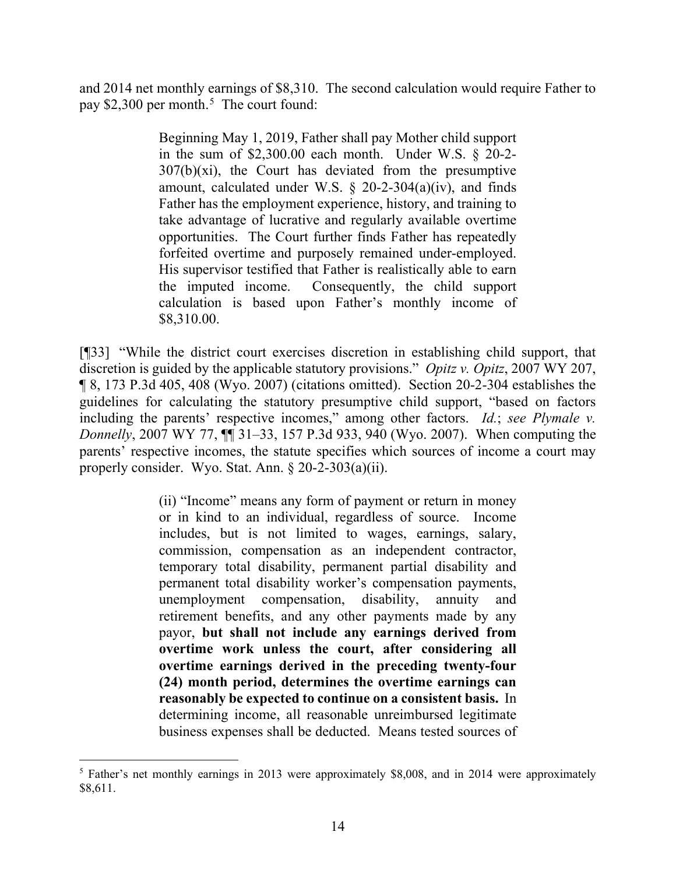and 2014 net monthly earnings of \$8,310. The second calculation would require Father to pay \$2,300 per month. [5](#page-14-0) The court found:

> Beginning May 1, 2019, Father shall pay Mother child support in the sum of  $$2,300.00$  each month. Under W.S.  $§$  20-2- $307(b)(xi)$ , the Court has deviated from the presumptive amount, calculated under W.S.  $\S$  20-2-304(a)(iv), and finds Father has the employment experience, history, and training to take advantage of lucrative and regularly available overtime opportunities. The Court further finds Father has repeatedly forfeited overtime and purposely remained under-employed. His supervisor testified that Father is realistically able to earn the imputed income. Consequently, the child support calculation is based upon Father's monthly income of \$8,310.00.

[¶33] "While the district court exercises discretion in establishing child support, that discretion is guided by the applicable statutory provisions." *Opitz v. Opitz*, 2007 WY 207, ¶ 8, 173 P.3d 405, 408 (Wyo. 2007) (citations omitted). Section 20-2-304 establishes the guidelines for calculating the statutory presumptive child support, "based on factors including the parents' respective incomes," among other factors. *Id.*; *see Plymale v. Donnelly*, 2007 WY 77,  $\P$  $\hat{I}$  31–33, 157 P.3d 933, 940 (Wyo. 2007). When computing the parents' respective incomes, the statute specifies which sources of income a court may properly consider. Wyo. Stat. Ann. § 20-2-303(a)(ii).

> (ii) "Income" means any form of payment or return in money or in kind to an individual, regardless of source. Income includes, but is not limited to wages, earnings, salary, commission, compensation as an independent contractor, temporary total disability, permanent partial disability and permanent total disability worker's compensation payments, unemployment compensation, disability, annuity and retirement benefits, and any other payments made by any payor, **but shall not include any earnings derived from overtime work unless the court, after considering all overtime earnings derived in the preceding twenty-four (24) month period, determines the overtime earnings can reasonably be expected to continue on a consistent basis.** In determining income, all reasonable unreimbursed legitimate business expenses shall be deducted. Means tested sources of

<span id="page-14-0"></span><sup>&</sup>lt;sup>5</sup> Father's net monthly earnings in 2013 were approximately \$8,008, and in 2014 were approximately \$8,611.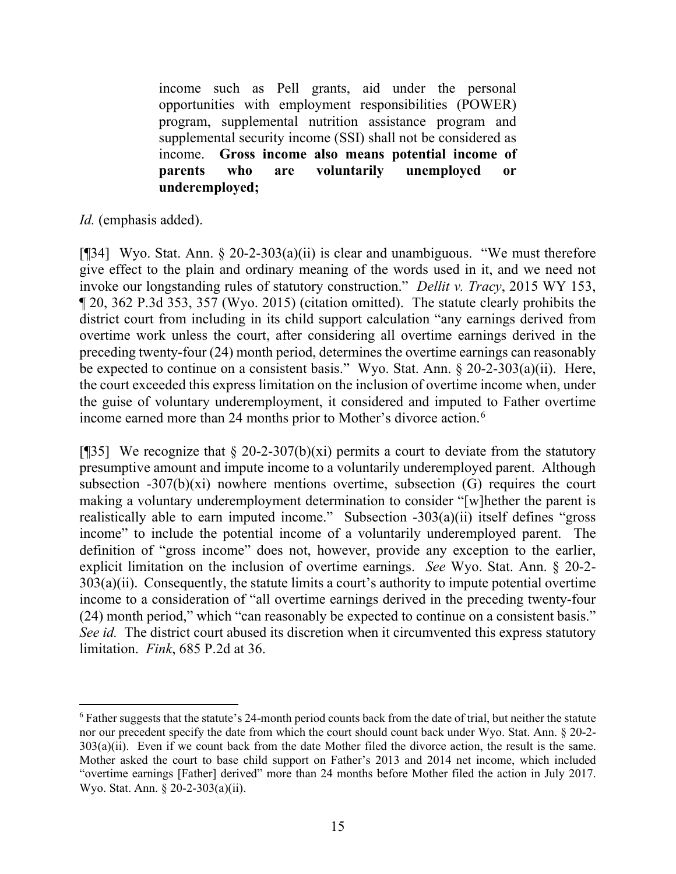income such as Pell grants, aid under the personal opportunities with employment responsibilities (POWER) program, supplemental nutrition assistance program and supplemental security income (SSI) shall not be considered as income. **Gross income also means potential income of parents who are voluntarily unemployed or underemployed;**

*Id.* (emphasis added).

[¶34] Wyo. Stat. Ann. § 20-2-303(a)(ii) is clear and unambiguous. "We must therefore give effect to the plain and ordinary meaning of the words used in it, and we need not invoke our longstanding rules of statutory construction." *Dellit v. Tracy*, 2015 WY 153, ¶ 20, 362 P.3d 353, 357 (Wyo. 2015) (citation omitted). The statute clearly prohibits the district court from including in its child support calculation "any earnings derived from overtime work unless the court, after considering all overtime earnings derived in the preceding twenty-four (24) month period, determines the overtime earnings can reasonably be expected to continue on a consistent basis." Wyo. Stat. Ann. § 20-2-303(a)(ii). Here, the court exceeded this express limitation on the inclusion of overtime income when, under the guise of voluntary underemployment, it considered and imputed to Father overtime income earned more than 24 months prior to Mother's divorce action.<sup>[6](#page-15-0)</sup>

[ $[$ ]35] We recognize that § 20-2-307(b)(xi) permits a court to deviate from the statutory presumptive amount and impute income to a voluntarily underemployed parent. Although subsection  $-307(b)(xi)$  nowhere mentions overtime, subsection (G) requires the court making a voluntary underemployment determination to consider "[w]hether the parent is realistically able to earn imputed income." Subsection -303(a)(ii) itself defines "gross income" to include the potential income of a voluntarily underemployed parent. The definition of "gross income" does not, however, provide any exception to the earlier, explicit limitation on the inclusion of overtime earnings. *See* Wyo. Stat. Ann. § 20-2-  $303(a)(ii)$ . Consequently, the statute limits a court's authority to impute potential overtime income to a consideration of "all overtime earnings derived in the preceding twenty-four (24) month period," which "can reasonably be expected to continue on a consistent basis." *See id.* The district court abused its discretion when it circumvented this express statutory limitation. *Fink*, 685 P.2d at 36.

<span id="page-15-0"></span> $6$  Father suggests that the statute's 24-month period counts back from the date of trial, but neither the statute nor our precedent specify the date from which the court should count back under Wyo. Stat. Ann. § 20-2- 303(a)(ii). Even if we count back from the date Mother filed the divorce action, the result is the same. Mother asked the court to base child support on Father's 2013 and 2014 net income, which included "overtime earnings [Father] derived" more than 24 months before Mother filed the action in July 2017. Wyo. Stat. Ann. § 20-2-303(a)(ii).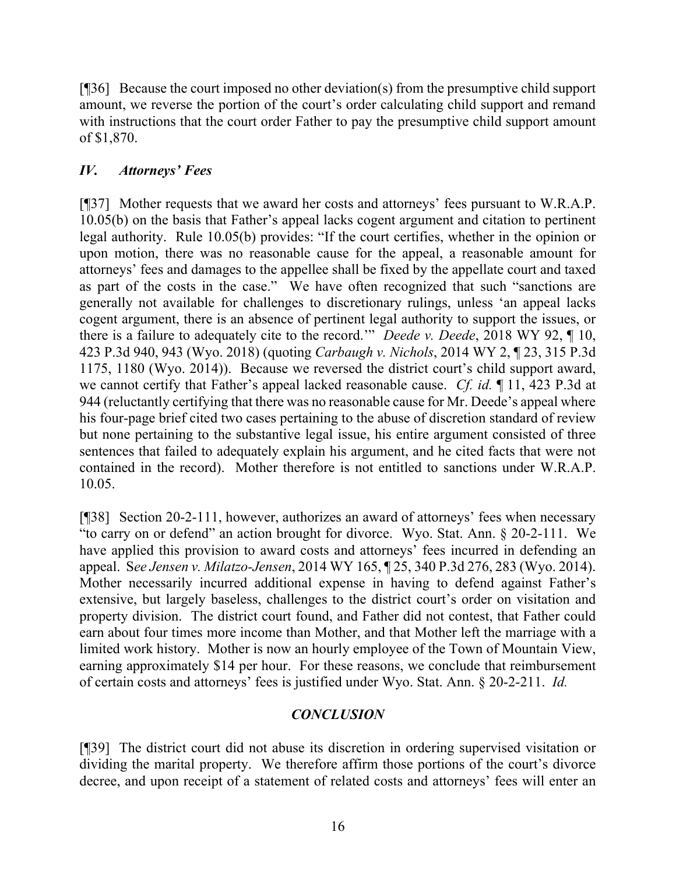[¶36] Because the court imposed no other deviation(s) from the presumptive child support amount, we reverse the portion of the court's order calculating child support and remand with instructions that the court order Father to pay the presumptive child support amount of \$1,870.

### *IV. Attorneys' Fees*

[¶37] Mother requests that we award her costs and attorneys' fees pursuant to W.R.A.P. 10.05(b) on the basis that Father's appeal lacks cogent argument and citation to pertinent legal authority. Rule 10.05(b) provides: "If the court certifies, whether in the opinion or upon motion, there was no reasonable cause for the appeal, a reasonable amount for attorneys' fees and damages to the appellee shall be fixed by the appellate court and taxed as part of the costs in the case." We have often recognized that such "sanctions are generally not available for challenges to discretionary rulings, unless 'an appeal lacks cogent argument, there is an absence of pertinent legal authority to support the issues, or there is a failure to adequately cite to the record.'" *Deede v. Deede*, 2018 WY 92, ¶ 10, 423 P.3d 940, 943 (Wyo. 2018) (quoting *Carbaugh v. Nichols*, 2014 WY 2, ¶ 23, 315 P.3d 1175, 1180 (Wyo. 2014)). Because we reversed the district court's child support award, we cannot certify that Father's appeal lacked reasonable cause. *Cf. id.* ¶ 11, 423 P.3d at 944 (reluctantly certifying that there was no reasonable cause for Mr. Deede's appeal where his four-page brief cited two cases pertaining to the abuse of discretion standard of review but none pertaining to the substantive legal issue, his entire argument consisted of three sentences that failed to adequately explain his argument, and he cited facts that were not contained in the record). Mother therefore is not entitled to sanctions under W.R.A.P. 10.05.

[¶38] Section 20-2-111, however, authorizes an award of attorneys' fees when necessary "to carry on or defend" an action brought for divorce. Wyo. Stat. Ann. § 20-2-111. We have applied this provision to award costs and attorneys' fees incurred in defending an appeal. S*ee Jensen v. Milatzo-Jensen*, 2014 WY 165, ¶ 25, 340 P.3d 276, 283 (Wyo. 2014). Mother necessarily incurred additional expense in having to defend against Father's extensive, but largely baseless, challenges to the district court's order on visitation and property division. The district court found, and Father did not contest, that Father could earn about four times more income than Mother, and that Mother left the marriage with a limited work history. Mother is now an hourly employee of the Town of Mountain View, earning approximately \$14 per hour. For these reasons, we conclude that reimbursement of certain costs and attorneys' fees is justified under Wyo. Stat. Ann. § 20-2-211. *Id.*

## *CONCLUSION*

[¶39] The district court did not abuse its discretion in ordering supervised visitation or dividing the marital property. We therefore affirm those portions of the court's divorce decree, and upon receipt of a statement of related costs and attorneys' fees will enter an